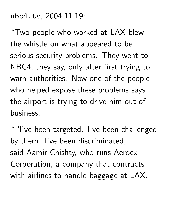nbc4.tv, 2004.11.19:

"Two people who worked at LAX blew the whistle on what appeared to be serious security problems. They went to NBC4, they say, only after first trying to warn authorities. Now one of the people who helped expose these problems says the airport is trying to drive him out of business.

" 'I've been targeted. I've been challenged by them. I've been discriminated,' said Aamir Chishty, who runs Aeroex Corporation, a company that contracts with airlines to handle baggage at LAX.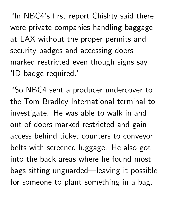"In NBC4's first report Chishty said there were private companies handling baggage at LAX without the proper permits and security badges and accessing doors marked restricted even though signs say 'ID badge required.'

"So NBC4 sent a producer undercover to the Tom Bradley International terminal to investigate. He was able to walk in and out of doors marked restricted and gain access behind ticket counters to conveyor belts with screened luggage. He also got into the back areas where he found most bags sitting unguarded—leaving it possible for someone to plant something in a bag.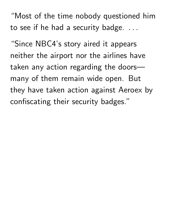"Most of the time nobody questioned him to see if he had a security badge. .. the contract of the contract of the contract of the contract of the contract of

"Since NBC4's story aired it appears neither the airport nor the airlines have taken any action regarding the doors many of them remain wide open. But they have taken action against Aeroex by confiscating their security badges."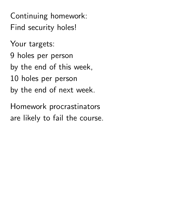Continuing homework: Find security holes!

Your targets:

9 holes per person

by the end of this week,

10 holes per person

by the end of next week.

Homework procrastinators are likely to fail the course.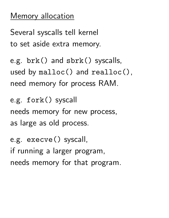## Memory allocation

Several syscalls tell kernel to set aside extra memory.

```
e.g. brk() and sbrk() syscalls,
used by malloc() and realloc(),
need memory for process RAM.
```

```
e.g. fork() syscall
needs memory for new process,
as large as old process.
```
e.g. execve() syscall, if running a larger program, needs memory for that program.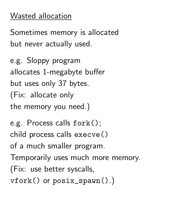# Wasted allocation

Sometimes memory is allocated but never actually used.

e.g. Sloppy program allocates 1-megabyte buffer but uses only 37 bytes. (Fix: allocate only the memory you need.)

e.g. Process calls fork(); child process calls execve() of a much smaller program. Temporarily uses much more memory. (Fix: use better syscalls, vfork() or posix\_spawn().)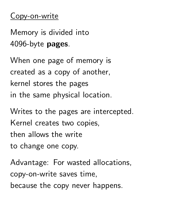#### Copy-on-write

Memory is divided into 4096-byte pages.

When one page of memory is created as a copy of another, kernel stores the pages in the same physical location.

Writes to the pages are intercepted. Kernel creates two copies, then allows the write to change one copy.

Advantage: For wasted allocations, copy-on-write saves time, because the copy never happens.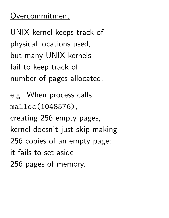## Overcommitment

UNIX kernel keeps track of physical locations used, but many UNIX kernels fail to keep track of number of pages allocated.

e.g. When process calls malloc(1048576), creating 256 empty pages, kernel doesn't just skip making 256 copies of an empty page; it fails to set aside 256 pages of memory.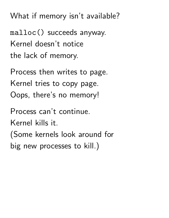What if memory isn't available?

malloc() succeeds anyway. Kernel doesn't notice the lack of memory.

Process then writes to page. Kernel tries to copy page. Oops, there's no memory!

Process can't continue.

Kernel kills it.

(Some kernels look around for big new processes to kill.)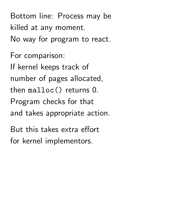Bottom line: Process may be killed at any moment. No way for program to react.

For comparison: If kernel keeps track of number of pages allocated, then malloc() returns 0. Program checks for that and takes appropriate action.

But this takes extra effort for kernel implementors.